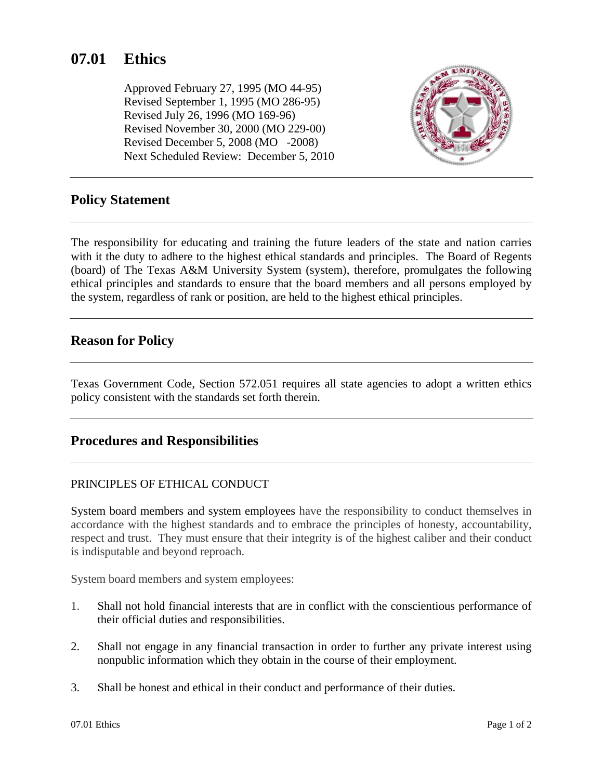# **07.01 Ethics**

Approved February 27, 1995 (MO 44-95) Revised September 1, 1995 (MO 286-95) Revised July 26, 1996 (MO 169-96) Revised November 30, 2000 (MO 229-00) Revised December 5, 2008 (MO -2008) Next Scheduled Review: December 5, 2010



# **Policy Statement**

The responsibility for educating and training the future leaders of the state and nation carries with it the duty to adhere to the highest ethical standards and principles. The Board of Regents (board) of The Texas A&M University System (system), therefore, promulgates the following ethical principles and standards to ensure that the board members and all persons employed by the system, regardless of rank or position, are held to the highest ethical principles.

#### **Reason for Policy**

Texas Government Code, Section 572.051 requires all state agencies to adopt a written ethics policy consistent with the standards set forth therein.

# **Procedures and Responsibilities**

#### PRINCIPLES OF ETHICAL CONDUCT

System board members and system employees have the responsibility to conduct themselves in accordance with the highest standards and to embrace the principles of honesty, accountability, respect and trust. They must ensure that their integrity is of the highest caliber and their conduct is indisputable and beyond reproach.

System board members and system employees:

- 1. Shall not hold financial interests that are in conflict with the conscientious performance of their official duties and responsibilities.
- 2. Shall not engage in any financial transaction in order to further any private interest using nonpublic information which they obtain in the course of their employment.
- 3. Shall be honest and ethical in their conduct and performance of their duties.